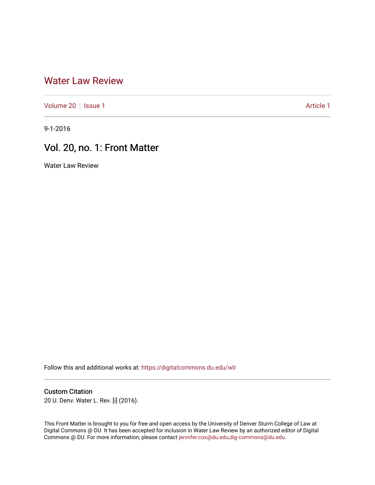## [Water Law Review](https://digitalcommons.du.edu/wlr)

[Volume 20](https://digitalcommons.du.edu/wlr/vol20) | [Issue 1](https://digitalcommons.du.edu/wlr/vol20/iss1) Article 1

9-1-2016

# Vol. 20, no. 1: Front Matter

Water Law Review

Follow this and additional works at: [https://digitalcommons.du.edu/wlr](https://digitalcommons.du.edu/wlr?utm_source=digitalcommons.du.edu%2Fwlr%2Fvol20%2Fiss1%2F1&utm_medium=PDF&utm_campaign=PDFCoverPages) 

#### Custom Citation

20 U. Denv. Water L. Rev. [i] (2016).

This Front Matter is brought to you for free and open access by the University of Denver Sturm College of Law at Digital Commons @ DU. It has been accepted for inclusion in Water Law Review by an authorized editor of Digital Commons @ DU. For more information, please contact [jennifer.cox@du.edu,dig-commons@du.edu.](mailto:jennifer.cox@du.edu,dig-commons@du.edu)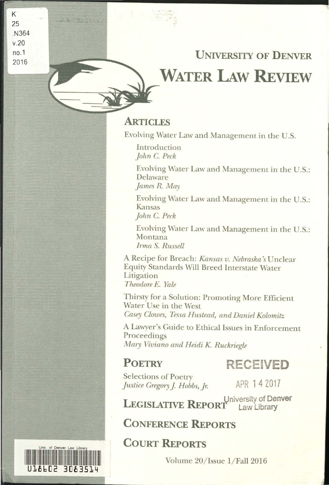# UNIVERSITY OF DENVER **WATER LAw REVIEW**

### **ARTICLES**

Evolving Water Law and Management in the U.S.

Introduction *john* C. *Peck* 

Evolving Water Law and Management in the U.S.: Delaware *james* R. *May* 

Evolving Water Law and Management in the U.S.: Kansas *john* C. *Peck* 

Evolving Water Law and Management in the U.S.: Montana *Irma S. Russell* 

A Recipe for Breach: *Kansas v. Nebraska* s Unclear Equity Standards Will Breed Interstate Water Litigation *Theodore E. Yale* 

Thirsty for a Solution: Promoting More Efficient Water Use in the West *Casey Clowes, Tessa Hustead, and Daniel Kolomitz* 

A Lawyer's Guide to Ethical Issues in Enforcement Proceedings *Mary Viviano and Heidi* K. *Ruckriegle* 

# POETRY **RECEIVED**

Selections of Poetry *Justice Gregory J. Hobbs, Jr.* **APR 1 4 2017** 

University of Denver<br> **I** Law Library LEGISLATIVE REPORT

CONFERENCE REPORTS

# COURT REPORTS

Volume 20/Issue 1/Fall 2016



K 25 .N364 v.20 no.1 2016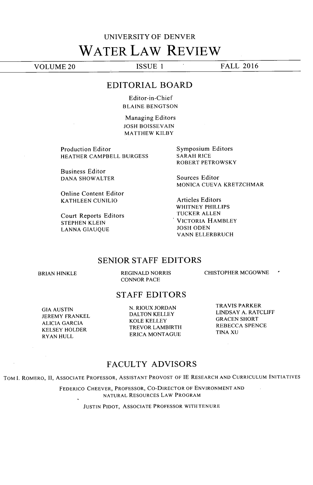# **UNIVERSITY** OF **DENVER WATER LAW REVIEW**

**VOLUME** 20 **ISSUE** 1 FALL **2016**

#### EDITORIAL BOARD

Editor-in-Chief **BLAINE BENGTSON**

Managing Editors **JOSH BOISSEVAIN** MATTHEW KILBY

Production Editor HEATHER CAMPBELL **BURGESS**

Business Editor **DANA** SHOWALTER

Online Content Editor **KATHLEEN CUNILIO**

Court Reports Editors **STEPHEN KLEIN LANNA GIAUQUE**

Symposium Editors SARAH RICE ROBERT PETROWSKY

Sources Editor **MONICA CUEVA** KRETZCHMAR

Articles Editors WHITNEY PHILLIPS TUCKER **ALLEN** VICTORIA HAMBLEY **JOSH ODEN VANN** ELLERBRUCH

#### **SENIOR STAFF** EDITORS

BRIAN **HINKLE REGINALD** NORRIS **CONNOR PACE**

CHISTOPHER **MCGOWNE** 

### **STAFF** EDITORS

**GIA AUSTIN** JEREMY FRANKEL **ALICIA GARCIA** KELSEY HOLDER RYAN **HULL**

**N.** RIOUX **JORDAN DALTON** KELLEY KOLE KELLEY TREVOR LAMBIRTH ERICA **MONTAGUE**

TRAVIS PARKER **LINDSAY A.** RATCLIFF **GRACEN** SHORT REBECCA **SPENCE TINA XU**

### **FACULTY** ADVISORS

TOM **.** ROMERO, **II,** ASSOCIATE PROFESSOR, ASSISTANT PROVOST OF **IE** RESEARCH **AND CURRICULUM INITIATIVES**

FEDERICO CHEEVER, PROFESSOR, CO-DIRECTOR OF **ENVIRONMENT AND NATURAL** RESOURCES LAW PROGRAM

**JUSTIN** PIDOT, **ASSOCIATE** PROFESSOR WITH **TENURE**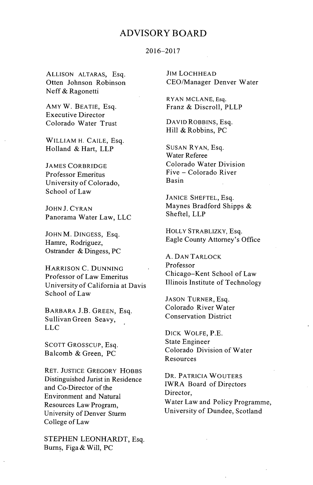### ADVISORY BOARD

#### **2016-2017**

**ALLISON** ALTARAS, Esq. Otten Johnson Robinson Neff **&** Ragonetti

AMY W. **BEATIE,** Esq. Executive Director Colorado Water Trust

WILLIAM H. **CAILE,** Esq. Holland **&** Hart, LLP

**JAMES** CORBRIDGE Professor Emeritus University of Colorado, School of Law

**JOHN J. CYRAN** Panorama Water Law, **LLC**

**JOHN** M. DINGESS, Esq. Hamre, Rodriguez, Ostrander **&** Dingess, **PC**

HARRISON **C. DUNNING** Professor of Law Emeritus University of California at Davis School of Law

BARBARA **J.B. GREEN,** Esq. Sullivan Green Seavy, **LLC**

**SCOTT** GROSSCUP, Esq. Balcomb **&** Green, **PC**

RET. **JUSTICE** GREGORY HOBBS Distinguished Jurist in Residence and Co-Director of the Environment and Natural Resources Law Program, University of Denver Sturm College of Law

**STEPHEN** LEONHARDT, Esq. Burns, Figa **&** Will, **PC**

JIM LOCHHEAD CEO/Manager Denver Water

RYAN **MCLANE,** Esq. Franz **&** Discroll, PLLP

DAVID ROBBINS, Esq. Hill **&** Robbins, **PC**

**SUSAN** RYAN, Esq. Water Referee Colorado Water Division Five **-** Colorado River Basin

**JANICE SHEFTEL,** Esq. Maynes Bradford Shipps & Sheftel, LLP

HOLLY STRABLIZKY, Esq. Eagle County Attorney's Office

**A. DAN** TARLOCK Professor Chicago-Kent School of Law Illinois Institute of Technology

**JASON** TURNER, Esq. Colorado River Water Conservation District

DICK WOLFE, P.E. State Engineer Colorado Division of Water Resources

DR. PATRICIA WOUTERS IWRA Board of Directors Director, Water Law and Policy Programme, University of Dundee, Scotland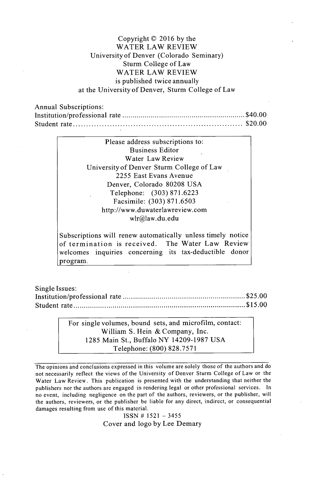#### Copyright **C 2016 by** the WATER LAW REVIEW University of Denver (Colorado Seminary) Sturm College of Law WATER LAW REVIEW is published twice annually at the University of Denver, Sturm College of Law

Annual Subscriptions: Institution/professional rate **...............................** \$40.00 Student **rate............................................. \$20.00**

> Please address subscriptions to: Business Editor Water Law Review University of Denver Sturm College of Law **2255** East Evans Avenue Denver, Colorado **80208 USA** Telephone: **(303) 871.6223** Facsimile: **(303) 871.6503** http://www.duwaterlawreview.com wlr@law.du.edu

Subscriptions will renew automatically unless timely notice of termination is received. The Water Law Review welcomes inquiries concerning its tax-deductible donor program.

Single Issues: Institution/professional rate **................................ \$25.00** Student rate **............................................. \$15.00**

> For single volumes, bound sets, and microfilm, contact: William **S.** Hein **&** Company, Inc. **1285** Main St., Buffalo NY **14209-1987 USA** Telephone: **(800) 828.7571**

The opinions and conclusions expressed in this volume are solely those of the authors and do not necessarily reflect the views of the University of Denver Sturm College of Law or the Water Law Review. This publication is presented with the understanding that neither the publishers nor the authors are engaged in rendering legal or other professional services. In no event, including negligence on the part of the authors, reviewers, or the publisher, will the authors, reviewers, or the publisher be liable for any direct, indirect, or consequential damages resulting from use of this material.

**ISSN # 1521 - 3455** Cover and logo **by** Lee Demary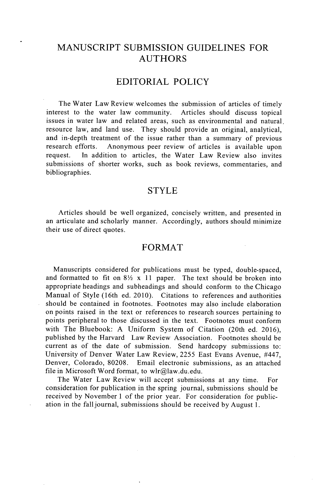### **MANUSCRIPT SUBMISSION GUIDELINES** FOR **AUTHORS**

### EDITORIAL POLICY

The Water Law Review welcomes the submission of articles of timely interest to the water law community. Articles should discuss topical issues in water law and related areas, such as environmental and natural resource law, and land use. They should provide an original, analytical, and in-depth treatment of the issue rather than a summary of previous research efforts. Anonymous peer review of articles is available upon request. In addition to articles, the Water Law Review also invites submissions of shorter works, such as book reviews, commentaries, and bibliographies.

#### STYLE

Articles should be well organized, concisely written, and presented in an articulate and scholarly manner. Accordingly, authors should minimize their use of direct quotes.

#### FORMAT

Manuscripts considered for publications must be typed, double-spaced, and formatted to fit on  $8\frac{1}{2}$  x 11 paper. The text should be broken into appropriate headings and subheadings and should conform to the Chicago Manual of Style (16th ed. 2010). Citations to references and authorities should be contained in footnotes. Footnotes may also include elaboration on points raised in the text or references to research sources pertaining to points peripheral to those discussed in the text. Footnotes must conform with The Bluebook: **A** Uniform System of Citation (20th ed. **2016),** published **by** the Harvard Law Review Association. Footnotes should be current as of the date of submission. Send hardcopy submissions to: University of Denver Water Law Review, **2255** East Evans Avenue, #447, Email electronic submissions, as an attached file in Microsoft Word format, to wlr@law.du.edu.

The Water Law Review will accept submissions at any time. For consideration for publication in the spring journal, submissions should be received **by** November **1** of the prior year. For consideration for publication in the fall journal, submissions should be received **by** August **1.**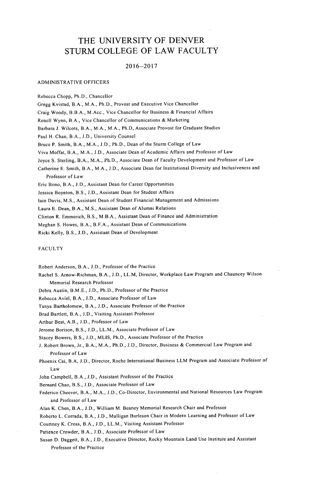### THE **UNIVERSITY** OF DENVER STURM **COLLEGE** OF LAW **FACULTY**

#### **2016-2017**

#### ADMINISTRATIVE OFFICERS

Rebecca Chopp, Ph.D., Chancellor Gregg Kvistad, B.A., M.A., Ph.D., Provost and Executive Vice Chancellor Craig Woody, B.B.A., M.Acc., Vice Chancellor for Business **&** Financial Affairs Renell Wynn, B.A., Vice Chancellor of Communications **&** Marketing Barbara **J.** Wilcots, B.A., M.A., M.A., Ph.D, Associate Provost for Graduate Studies Paul H. Chan, B.A., **J.D.,** University Counsel Bruce P. Smith, B.A., M.A., **J.D.,** Ph.D., Dean of the Sturm College of Law Viva Moffat, B.A., M.A., **J.D.,** Associate Dean of Academic Affairs and Professor of Law Joyce **S.** Sterling, B.A., M.A., Ph.D., Associate Dean of Faculty Development and Professor of Law Catherine **E.** Smith, B.A., M.A., **J.D.,** Associate Dean for Institutional Diversity and Inclusiveness and Professor of Law Eric Bono, B.A., **J.D.,** Assistant Dean for Career Opportunities Jessica Boynton, B.S., **J.D.,** Assistant Dean for Student Affairs lain Davis, **M.S.,** Assistant Dean of Student Financial Management and Admissions Laura **E.** Dean, B.A., **M.S.,** Assistant Dean of Alumni Relations Clinton R. Emmerich, B.S., M.B.A., Assistant Dean of Finance and Administration

Meghan **S.** Howes, B.A., B.F.A., Assistant Dean of Communications

Ricki Kelly, B.S., **J.D.,** Assistant Dean of Development

#### **FACULTY**

Robert Anderson, B.A., **J.D.,** Professor of the Practice

- Rachel **S.** Arnow-Richman, B.A., **J.D.,** LL.M, Director, Workplace Law Program and Chauncey Wilson Memorial Research Professor
- Debra Austin, B.M.E., **J.D.,** Ph.D., Professor of the Practice
- Rebecca Aviel, B.A., **J.D.,** Associate Professor of Law
- Tanya Bartholomew, B.A., **J.D.,** Associate Professor of the Practice

Brad Bartlett, B.A., **J.D.,** Visiting Assistant Professor

Arthur Best, A.B., **J.D.,** Professor of Law

Jerome Borison, B.S., **J.D.,** LL.M., Associate Professor of Law

Stacey Bowers, B.S., **J.D., MLIS,** Ph.D., Associate Professor of the Practice

- **J.** Robert Brown, Jr., B.A., M.A., Ph.D., **J.D.,** Director, Business **&** Commercial Law Program and Professor of Law
- Phoenix Cai, B.A, **J.D.,** Director, Roche International Business LLM Program and Associate Professor of Law
- John Campbell, B.A., **J.D.,** Assistant Professor of the Practice

Bernard Chao, B.S., **J.D.,** Associate Professor of Law

Federico Cheever, B.A., M.A., **J.D.,** Co-Director, Environmental and National Resources Law Program and Professor of Law

Alan K. Chen, B.A., **J.D.,** William M. Beaney Memorial Research Chair and Professor

Roberto L. Corrada, B.A., **J.D.,** Mulligan Burleson Chair in Modern Learning and Professor of Law

Courtney K. Cross, B.A., **J.D.,** LL.M., Visiting Assistant Professor

Patience Crowder, B.A., **J.D.,** Associate Professor of Law

Susan **D.** Daggett, B.A., **J.D.,** Executive Director, Rocky Mountain Land Use Institute and Assistant Professor of the Practice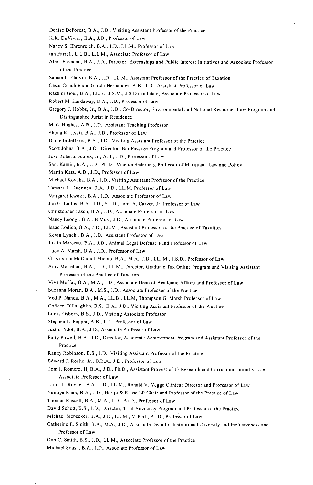- Denise DeForest, B.A., **J.D.,** Visiting Assistant Professor of the Practice
- K.K. DuVivier, B.A., **J.D.,** Professor of Law
- Nancy **S.** Ehrenreich, B.A., **J.D.,** LL.M., Professor of Law
- Ian Farrell, L.L.B., L.L.M., Associate Professor of Law
- Alexi Freeman, B.A., **J.D.,** Director, Externships and Public Interest Initiatives and Associate Professor of the Practice
- Samantha Galvin, B.A., **J.D.,** LL.M., Assistant Professor of the Practice of Taxation
- César Cuauhtémoc García Hernández, A.B., J.D., Assistant Professor of Law
- Rashmi Goel, B.A., LL.B., **J.S.M., J.S.D** candidate, Associate Professor of Law
- Robert M. Hardaway, B.A., **J.D.,** Professor of Law
- Gregory **J.** Hobbs, Jr., B.A., **LD.,** Co-Director, Environmental and National Resources Law Program and Distinguished Jurist in Residence
- Mark Hughes, A.B., **J.D.,** Assistant Teaching Professor
- Sheila K. Hyatt, B.A., **J.D.,** Professor of Law
- Danielle Jefferis, B.A., **J.D.,** Visiting Assistant Professor of the Practice
- Scott Johns, B.A., **J.D.,** Director, Bar Passage Program and Professor of the Practice
- Jose Roberto Juarez, Jr., A.B., **J.D.,** Professor of Law
- Sam Kamin, B.A., **J.D.,** Ph.D., Vicente Sederberg Professor of Marijuana Law and Policy
- Martin Katz, A.B., **J.D.,** Professor of Law
- Michael Kovaka, B.A., **J.D.,** Visiting Assistant Professor of the Practice
- Tamara L. Kuennen, B.A., **J.D.,** LL.M, Professor of Law
- Margaret Kwoka, B.A., J.D., Associate Professor of Law
- Jan **G.** Laitos, B.A., **J.D., S.J.D.,** John **A.** Carver, Jr. Professor of Law
- Christopher Lasch, B.A., **J.D.,** Associate Professor of Law
- Nancy Leong., B.A., B.Mus., **J.D.,** Associate Professor of Law
- Isaac Lodico, B.A., **J.D.,** LL.M., Assistant Professor of the Practice of Taxation
- Kevin Lynch., B.A., **J.D.,** Assistant Professor of Law
- Justin Marceau, B.A., **J.D.,** Animal Legal Defense Fund Professor of Law
- Lucy **A.** Marsh, B.A., **J.D.,** Professor of Law
- **G.** Kristian McDaniel-Miccio, B.A., M.A., **J.D.,** LL. M., **J.S.D.,** Professor of Law
- Amy McLellan, B.A., **J.D.,** LL.M., Director, Graduate Tax Online Program and Visiting Assistant Professor of the Practice of Taxation
- Viva Moffat, B.A., M.A., **J.D.,** Associate Dean of Academic Affairs and Professor of Law
- Suzanna Moran, B.A., **M.S., J.D.,** Associate Professor of the Practice
- Ved P. Nanda, B.A., M.A., LL.B., LL.M, Thompson **G.** Marsh Professor of Law
- Colleen O'Laughlin, B.S., B.A., **J.D.,** Visiting Assistant Professor of the Practice

Lucas Osborn, B.S., **J.D.,** Visiting Associate Professor

- Stephen L. Pepper, **A.B., J.D.,** Professor of Law
- Justin Pidot, B.A., **J.D.,** Associate Professor of Law
- Patty Powell, B.A., **J.D.,** Director, Academic Achievement Program and Assistant Professor of the Practice
- Randy Robinson, B.S., **J.D.,** Visiting Assistant Professor of the Practice
- Edward **J.** Roche, Jr., B.B.A., **J.D.,** Professor of Law
- Tom **1.** Romero, **II,** B.A., **J.D.,** Ph.D., Assistant Provost of **IE** Research and Curriculum Initiatives and Associate Professor of Law
- Laura L. Rovner, B.A., **J.D.,** LL.M., Ronald V. Yegge Clinical Director and Professor **of** Law
- Nantiya Ruan, B.A., **J.D.,** Hartje **&** Reese LP Chair and Professor of the Practice of Law
- Thomas Russell, B.A., M.A., **J.D.,** Ph.D., Professor of Law
- David Schott, B.S., **i.D.,** Director, Trial Advocacy Program and Professor of the Practice
- Michael Siebecker, B.A., **J.D.,** LL.M., M.Phil., Ph.D., Professor of Law
- Catherine **E.** Smith, B.A., M.A., **J.D.,** Associate Dean for Institutional Diversity and Inclusiveness and Professor of Law
- Don **C.** Smith, B.S., **J.D.,** LL.M., Associate Professor of the Practice
- Michael Sousa, B.A., **J.D.,** Associate Professor of Law